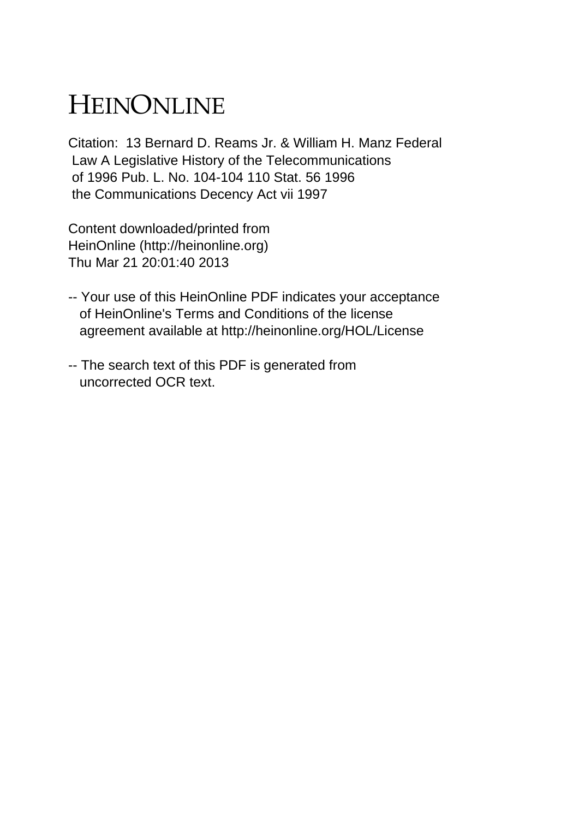# HEINONLINE

Citation: 13 Bernard D. Reams Jr. & William H. Manz Federal Law A Legislative History of the Telecommunications of 1996 Pub. L. No. 104-104 110 Stat. 56 1996 the Communications Decency Act vii 1997

Content downloaded/printed from HeinOnline (http://heinonline.org) Thu Mar 21 20:01:40 2013

- -- Your use of this HeinOnline PDF indicates your acceptance of HeinOnline's Terms and Conditions of the license agreement available at http://heinonline.org/HOL/License
- -- The search text of this PDF is generated from uncorrected OCR text.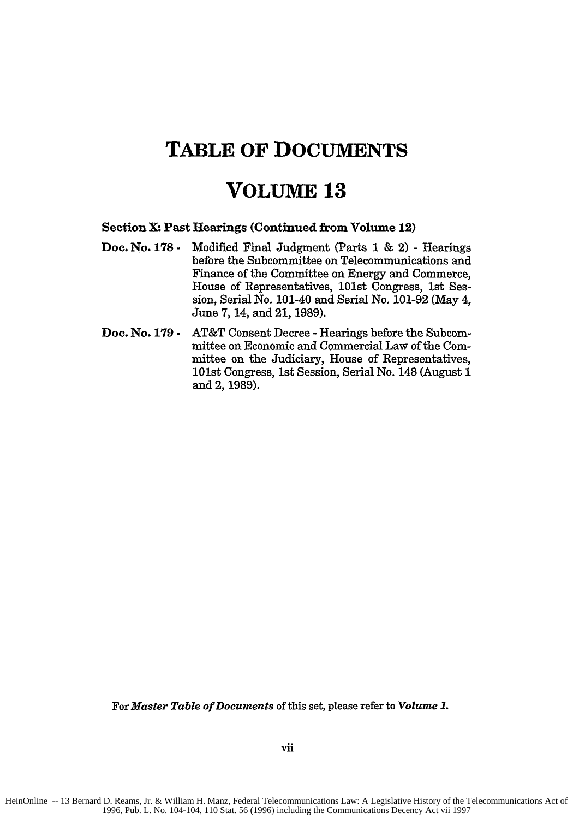### **TABLE OF DOCUMENTS**

### **VOLUME 13**

#### **Section X: Past Hearings (Continued from Volume 12)**

- Doc. **No. 178**  Modified Final Judgment (Parts 1 & 2) Hearings before the Subcommittee on Telecommunications and Finance of the Committee on Energy and Commerce, House of Representatives, 101st Congress, **1st** Session, Serial No. 101-40 and Serial No. **101-92** (May 4, June **7,** 14, and 21, **1989).**
- **Doc. No. 179 -** AT&T Consent Decree Hearings before the Subcommittee on Economic and Commercial Law of the Committee on the Judiciary, House of Representatives, 101st Congress, 1st Session, Serial No. 148 (August **1** and 2, 1989).

*For Master Table of Documents* of this set, please refer to *Volume 1.*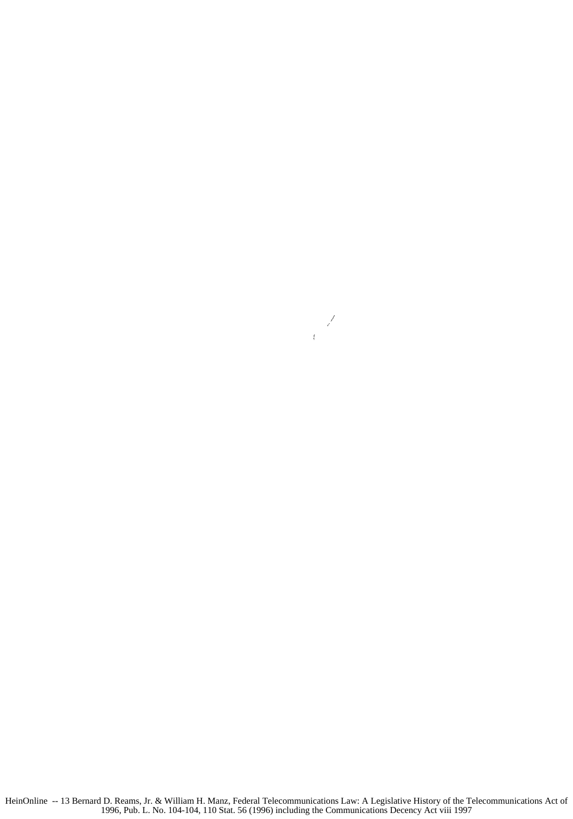HeinOnline -- 13 Bernard D. Reams, Jr. & William H. Manz, Federal Telecommunications Law: A Legislative History of the Telecommunications Act of 1996, Pub. L. No. 104-104, 110 Stat. 56 (1996) including the Communications Decency Act viii 1997

*/*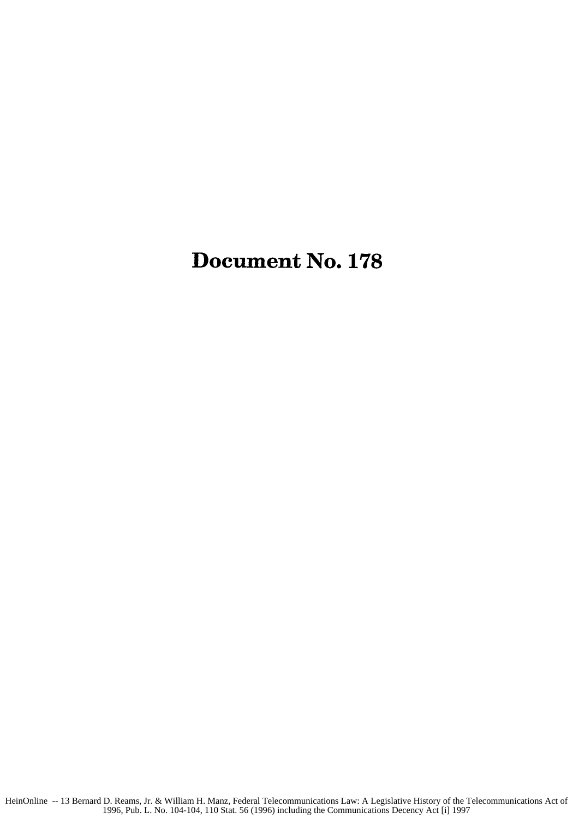## Document No. **178**